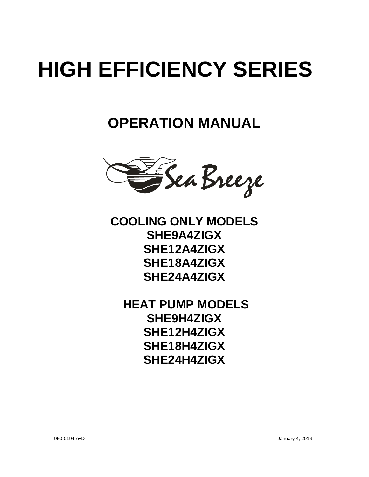# **HIGH EFFICIENCY SERIES**

**OPERATION MANUAL**



**COOLING ONLY MODELS SHE9A4ZIGX SHE12A4ZIGX SHE18A4ZIGX SHE24A4ZIGX**

**HEAT PUMP MODELS SHE9H4ZIGX SHE12H4ZIGX SHE18H4ZIGX SHE24H4ZIGX**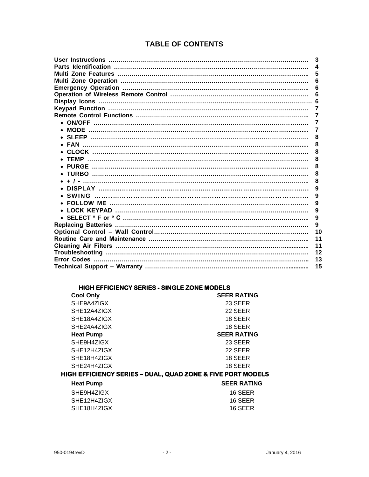# **TABLE OF CONTENTS**

|                                       | 3  |
|---------------------------------------|----|
|                                       | 4  |
|                                       | 5  |
|                                       | 6  |
|                                       | 6  |
|                                       | 6  |
|                                       |    |
|                                       |    |
|                                       | 7  |
|                                       |    |
|                                       | 7  |
|                                       | 8  |
|                                       | 8  |
|                                       | 8  |
|                                       | 8  |
|                                       | 8  |
|                                       | 8  |
|                                       | 8  |
|                                       | 9  |
| SWING ………………………………………………………………………………… | 9  |
|                                       | 9  |
|                                       | 9  |
|                                       | 9  |
|                                       | 9  |
|                                       | 10 |
|                                       | 11 |
|                                       | 11 |
|                                       | 12 |
|                                       | 13 |
|                                       | 15 |
|                                       |    |

## **HIGH EFFICIENCY SERIES - SINGLE ZONE MODELS**

| <b>Cool Only</b>                                            | <b>SEER RATING</b> |  |  |  |  |
|-------------------------------------------------------------|--------------------|--|--|--|--|
| SHE9A4ZIGX                                                  | 23 SEER            |  |  |  |  |
| SHE12A4ZIGX                                                 | 22 SEER            |  |  |  |  |
| SHE18A4ZIGX                                                 | 18 SEER            |  |  |  |  |
| SHE24A4ZIGX                                                 | 18 SEER            |  |  |  |  |
| <b>Heat Pump</b>                                            | <b>SEER RATING</b> |  |  |  |  |
| SHE9H4ZIGX                                                  | 23 SEER            |  |  |  |  |
| SHE12H4ZIGX                                                 | 22 SEER            |  |  |  |  |
| SHE18H4ZIGX                                                 | 18 SEER            |  |  |  |  |
| SHE24H4ZIGX                                                 | 18 SEER            |  |  |  |  |
| HIGH EFFICIENCY SERIES – DUAL, QUAD ZONE & FIVE PORT MODELS |                    |  |  |  |  |
| <b>Heat Pump</b>                                            | <b>SEER RATING</b> |  |  |  |  |
| SHE9H4ZIGX                                                  | 16 SEER            |  |  |  |  |
| SHE12H4ZIGX                                                 | 16 SEER            |  |  |  |  |

SHE18H4ZIGX 16 SEER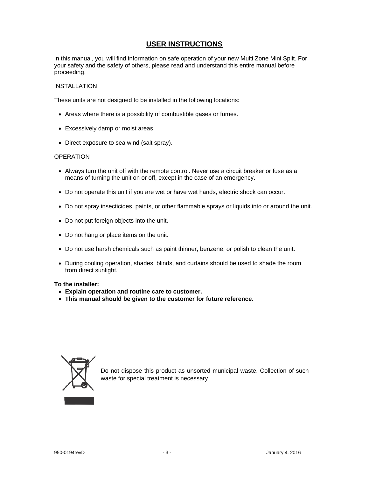## **USER INSTRUCTIONS**

In this manual, you will find information on safe operation of your new Multi Zone Mini Split. For your safety and the safety of others, please read and understand this entire manual before proceeding.

#### INSTALLATION

These units are not designed to be installed in the following locations:

- Areas where there is a possibility of combustible gases or fumes.
- Excessively damp or moist areas.
- Direct exposure to sea wind (salt spray).

#### **OPERATION**

- Always turn the unit off with the remote control. Never use a circuit breaker or fuse as a means of turning the unit on or off, except in the case of an emergency.
- Do not operate this unit if you are wet or have wet hands, electric shock can occur.
- Do not spray insecticides, paints, or other flammable sprays or liquids into or around the unit.
- Do not put foreign objects into the unit.
- Do not hang or place items on the unit.
- Do not use harsh chemicals such as paint thinner, benzene, or polish to clean the unit.
- During cooling operation, shades, blinds, and curtains should be used to shade the room from direct sunlight.

#### **To the installer:**

- **Explain operation and routine care to customer.**
- **This manual should be given to the customer for future reference.**



Do not dispose this product as unsorted municipal waste. Collection of such waste for special treatment is necessary.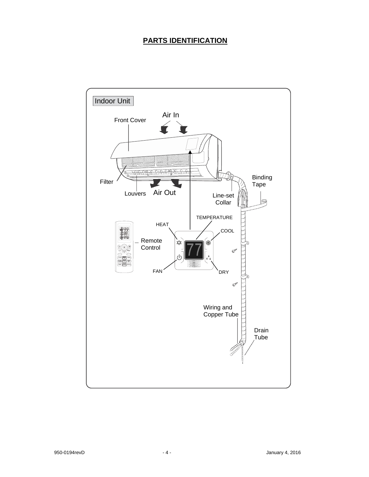# **PARTS IDENTIFICATION**

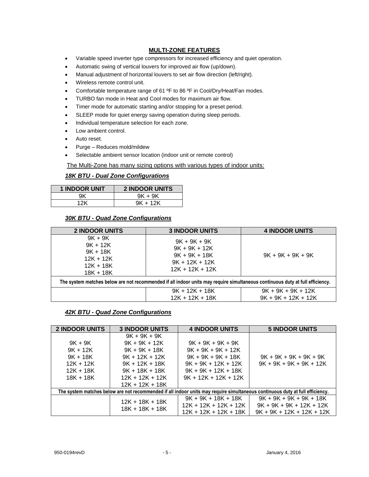## **MULTI-ZONE FEATURES**

- Variable speed inverter type compressors for increased efficiency and quiet operation.
- Automatic swing of vertical louvers for improved air flow (up/down).
- Manual adjustment of horizontal louvers to set air flow direction (left/right).
- Wireless remote control unit.
- Comfortable temperature range of 61 °F to 86 °F in Cool/Dry/Heat/Fan modes.
- TURBO fan mode in Heat and Cool modes for maximum air flow.
- Timer mode for automatic starting and/or stopping for a preset period.
- SLEEP mode for quiet energy saving operation during sleep periods.
- Individual temperature selection for each zone.
- Low ambient control.
- Auto reset.
- Purge Reduces mold/mildew
- Selectable ambient sensor location (indoor unit or remote control)

The Multi-Zone has many sizing options with various types of indoor units:

## *18K BTU - Dual Zone Configurations*

| <b>1 INDOOR UNIT</b> | <b>2 INDOOR UNITS</b> |
|----------------------|-----------------------|
| 9K                   | $9K + 9K$             |
| 1 O K                | $9K + 12K$            |

#### *30K BTU - Quad Zone Configurations*

| <b>2 INDOOR UNITS</b>                                                                                                         | <b>3 INDOOR UNITS</b>                                                                         | <b>4 INDOOR UNITS</b>                         |  |  |  |
|-------------------------------------------------------------------------------------------------------------------------------|-----------------------------------------------------------------------------------------------|-----------------------------------------------|--|--|--|
| $9K + 9K$<br>$9K + 12K$<br>$9K + 18K$<br>$12K + 12K$<br>$12K + 18K$<br>$18K + 18K$                                            | $9K + 9K + 9K$<br>$9K + 9K + 12K$<br>$9K + 9K + 18K$<br>$9K + 12K + 12K$<br>$12K + 12K + 12K$ | $9K + 9K + 9K + 9K$                           |  |  |  |
| The system matches below are not recommended if all indoor units may require simultaneous continuous duty at full efficiency. |                                                                                               |                                               |  |  |  |
|                                                                                                                               | $9K + 12K + 18K$<br>$12K + 12K + 18K$                                                         | $9K + 9K + 9K + 12K$<br>$9K + 9K + 12K + 12K$ |  |  |  |

## *42K BTU - Quad Zone Configurations*

| <b>2 INDOOR UNITS</b>                                                                                                         | <b>3 INDOOR UNITS</b>                                                                                                                                    | <b>4 INDOOR UNITS</b>                                                                                                                           | <b>5 INDOOR UNITS</b>                                                                  |  |  |
|-------------------------------------------------------------------------------------------------------------------------------|----------------------------------------------------------------------------------------------------------------------------------------------------------|-------------------------------------------------------------------------------------------------------------------------------------------------|----------------------------------------------------------------------------------------|--|--|
| $9K + 9K$<br>$9K + 12K$<br>$9K + 18K$<br>$12K + 12K$<br>$12K + 18K$<br>18K + 18K                                              | $9K + 9K + 9K$<br>$9K + 9K + 12K$<br>$9K + 9K + 18K$<br>$9K + 12K + 12K$<br>$9K + 12K + 18K$<br>$9K + 18K + 18K$<br>$12K + 12K + 12K$<br>12K + 12K + 18K | $9K + 9K + 9K + 9K$<br>$9K + 9K + 9K + 12K$<br>$9K + 9K + 9K + 18K$<br>$9K + 9K + 12K + 12K$<br>$9K + 9K + 12K + 18K$<br>$9K + 12K + 12K + 12K$ | $9K + 9K + 9K + 9K + 9K$<br>$9K + 9K + 9K + 9K + 12K$                                  |  |  |
| The system matches below are not recommended if all indoor units may require simultaneous continuous duty at full efficiency. |                                                                                                                                                          |                                                                                                                                                 |                                                                                        |  |  |
|                                                                                                                               | $12K + 18K + 18K$<br>18K + 18K + 18K                                                                                                                     | $9K + 9K + 18K + 18K$<br>12K + 12K + 12K + 12K<br>12K + 12K + 12K + 18K                                                                         | $9K + 9K + 9K + 9K + 18K$<br>$9K + 9K + 9K + 12K + 12K$<br>$9K + 9K + 12K + 12K + 12K$ |  |  |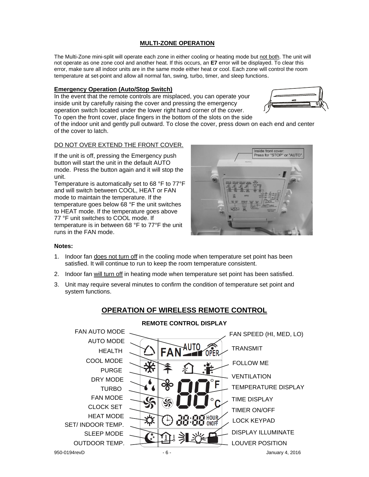## **MULTI-ZONE OPERATION**

The Multi-Zone mini-split will operate each zone in either cooling or heating mode but not both. The unit will not operate as one zone cool and another heat. If this occurs, an **E7** error will be displayed. To clear this error, make sure all indoor units are in the same mode either heat or cool. Each zone will control the room temperature at set-point and allow all normal fan, swing, turbo, timer, and sleep functions.

#### **Emergency Operation (Auto/Stop Switch)**

In the event that the remote controls are misplaced, you can operate your inside unit by carefully raising the cover and pressing the emergency operation switch located under the lower right hand corner of the cover. To open the front cover, place fingers in the bottom of the slots on the side



of the indoor unit and gently pull outward. To close the cover, press down on each end and center of the cover to latch.

#### DO NOT OVER EXTEND THE FRONT COVER.

If the unit is off, pressing the Emergency push button will start the unit in the default AUTO mode. Press the button again and it will stop the unit.

Temperature is automatically set to 68 °F to 77°F and will switch between COOL, HEAT or FAN mode to maintain the temperature. If the temperature goes below 68 °F the unit switches to HEAT mode. If the temperature goes above 77 °F unit switches to COOL mode. If temperature is in between 68 °F to 77°F the unit runs in the FAN mode.



#### **Notes:**

- 1. Indoor fan does not turn off in the cooling mode when temperature set point has been satisfied. It will continue to run to keep the room temperature consistent.
- 2. Indoor fan will turn off in heating mode when temperature set point has been satisfied.
- 3. Unit may require several minutes to confirm the condition of temperature set point and system functions.

# **OPERATION OF WIRELESS REMOTE CONTROL**



## **REMOTE CONTROL DISPLAY**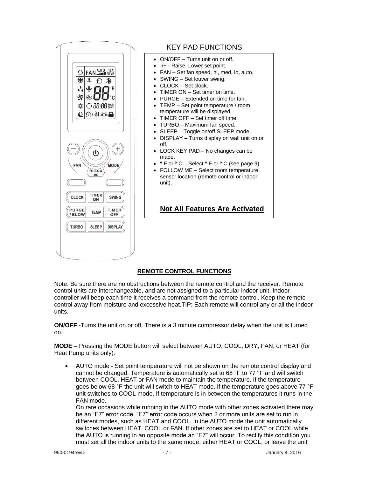

# KEY PAD FUNCTIONS

- ON/OFF Turns unit on or off.
- -/+ Raise, Lower set point.
- FAN Set fan speed, hi, med, lo, auto.
- SWING Set louver swing.
- CLOCK Set clock.
- TIMER ON Set timer on time.
- PURGE Extended on time for fan.
- TEMP Set point temperature / room temperature will be displayed.
- TIMER OFF Set timer off time.
- TURBO Maximum fan speed.
- SLEEP Toggle on/off SLEEP mode.
- DISPLAY Turns display on wall unit on or off.
- LOCK KEY PAD No changes can be made.
- **º**F or **º**C Select **º**F or **º**C (see page 9)
- FOLLOW ME Select room temperature sensor location (remote control or indoor unit).

# **Not All Features Are Activated**

## **REMOTE CONTROL FUNCTIONS**

Note: Be sure there are no obstructions between the remote control and the receiver. Remote control units are interchangeable, and are not assigned to a particular indoor unit. Indoor controller will beep each time it receives a command from the remote control. Keep the remote control away from moisture and excessive heat.TIP: Each remote will control any or all the indoor units.

**ON/OFF** -Turns the unit on or off. There is a 3 minute compressor delay when the unit is turned on.

**MODE** – Pressing the MODE button will select between AUTO, COOL, DRY, FAN, or HEAT (for Heat Pump units only).

 AUTO mode - Set point temperature will not be shown on the remote control display and cannot be changed. Temperature is automatically set to 68 °F to 77 °F and will switch between COOL, HEAT or FAN mode to maintain the temperature. If the temperature goes below 68 °F the unit will switch to HEAT mode. If the temperature goes above 77 °F unit switches to COOL mode. If temperature is in between the temperatures it runs in the FAN mode.

On rare occasions while running in the AUTO mode with other zones activated there may be an "E7" error code. "E7" error code occurs when 2 or more units are set to run in different modes, such as HEAT and COOL. In the AUTO mode the unit automatically switches between HEAT, COOL or FAN. If other zones are set to HEAT or COOL while the AUTO is running in an opposite mode an "E7" will occur. To rectify this condition you must set all the indoor units to the same mode, either HEAT or COOL, or leave the unit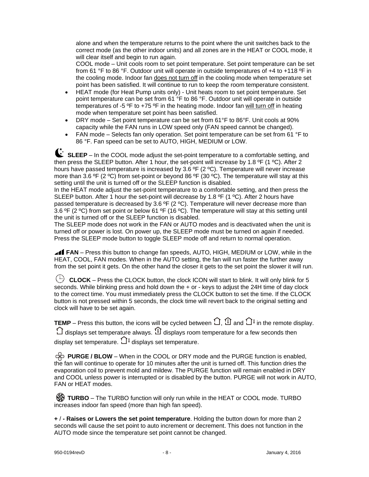alone and when the temperature returns to the point where the unit switches back to the correct mode (as the other indoor units) and all zones are in the HEAT or COOL mode, it will clear itself and begin to run again.

COOL mode – Unit cools room to set point temperature. Set point temperature can be set from 61 °F to 86 °F. Outdoor unit will operate in outside temperatures of +4 to +118 ºF in the cooling mode. Indoor fan does not turn off in the cooling mode when temperature set point has been satisfied. It will continue to run to keep the room temperature consistent.

- HEAT mode (for Heat Pump units only) Unit heats room to set point temperature. Set point temperature can be set from 61 °F to 86 °F. Outdoor unit will operate in outside temperatures of -5 ºF to +75 ºF in the heating mode. Indoor fan will turn off in heating mode when temperature set point has been satisfied.
- DRY mode Set point temperature can be set from 61°F to 86°F. Unit cools at 90% capacity while the FAN runs in LOW speed only (FAN speed cannot be changed).
- FAN mode Selects fan only operation. Set point temperature can be set from 61 °F to 86 °F. Fan speed can be set to AUTO, HIGH, MEDIUM or LOW.

SLEEP – In the COOL mode adjust the set-point temperature to a comfortable setting, and then press the SLEEP button. After 1 hour, the set-point will increase by 1.8 ºF (1 ºC). After 2 hours have passed temperature is increased by 3.6 °F (2 °C). Temperature will never increase more than 3.6 °F (2 °C) from set-point or beyond 86 °F (30 °C). The temperature will stay at this setting until the unit is turned off or the SLEEP function is disabled.

In the HEAT mode adjust the set-point temperature to a comfortable setting, and then press the SLEEP button. After 1 hour the set-point will decrease by 1.8 °F (1 °C). After 2 hours have passed temperature is decreased by 3.6 °F (2 °C). Temperature will never decrease more than 3.6 ºF (2 ºC) from set point or below 61 ºF (16 ºC). The temperature will stay at this setting until the unit is turned off or the SLEEP function is disabled.

The SLEEP mode does not work in the FAN or AUTO modes and is deactivated when the unit is turned off or power is lost. On power up, the SLEEP mode must be turned on again if needed. Press the SLEEP mode button to toggle SLEEP mode off and return to normal operation.

**FAN** – Press this button to change fan speeds, AUTO, HIGH, MEDIUM or LOW, while in the HEAT, COOL, FAN modes. When in the AUTO setting, the fan will run faster the further away from the set point it gets. On the other hand the closer it gets to the set point the slower it will run.

 $\bigoplus$  **CLOCK** – Press the CLOCK button, the clock ICON will start to blink. It will only blink for 5 seconds. While blinking press and hold down the + or - keys to adjust the 24H time of day clock to the correct time. You must immediately press the CLOCK button to set the time. If the CLOCK button is not pressed within 5 seconds, the clock time will revert back to the original setting and clock will have to be set again.

**TEMP** – Press this button, the icons will be cycled between  $\bigcirc$ ,  $\mathbb D$  and  $\bigcirc$ <sup>l</sup> in the remote display.  $\bigcirc$  displays set temperature always.  $\mathfrak A$  displays room temperature for a few seconds then display set temperature.  $\Box^{\mathbb{I}}$  displays set temperature.

 **PURGE / BLOW** – When in the COOL or DRY mode and the PURGE function is enabled, the fan will continue to operate for 10 minutes after the unit is turned off. This function dries the evaporation coil to prevent mold and mildew. The PURGE function will remain enabled in DRY and COOL unless power is interrupted or is disabled by the button. PURGE will not work in AUTO, FAN or HEAT modes.

**S** TURBO – The TURBO function will only run while in the HEAT or COOL mode. TURBO increases indoor fan speed (more than high fan speed).

**+** / **- Raises or Lowers the set point temperature**. Holding the button down for more than 2 seconds will cause the set point to auto increment or decrement. This does not function in the AUTO mode since the temperature set point cannot be changed.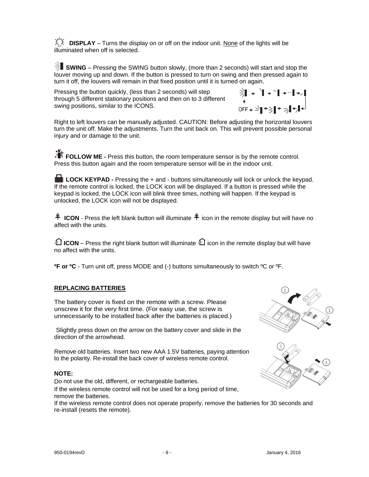$X^{\times}$  **DISPLAY** – Turns the display on or off on the indoor unit. None of the lights will be illuminated when off is selected.

**SWING** – Pressing the SWING button slowly, (more than 2 seconds) will start and stop the louver moving up and down. If the button is pressed to turn on swing and then pressed again to turn it off, the louvers will remain in that fixed position until it is turned on again.

Pressing the button quickly, (less than 2 seconds) will step through 5 different stationary positions and then on to 3 different swing positions, similar to the ICONS.



Right to left louvers can be manually adjusted. CAUTION: Before adjusting the horizontal louvers turn the unit off. Make the adjustments. Turn the unit back on. This will prevent possible personal injury and or damage to the unit.

**FOLLOW ME** - Press this button, the room temperature sensor is by the remote control. Press this button again and the room temperature sensor will be in the indoor unit.

**LOCK KEYPAD -** Pressing the + and - buttons simultaneously will lock or unlock the keypad. If the remote control is locked, the LOCK icon will be displayed. If a button is pressed while the keypad is locked, the LOCK icon will blink three times, nothing will happen. If the keypad is unlocked, the LOCK icon will not be displayed.

 $\hat{\hat{\hat{\tau}}}$  **ICON** - Press the left blank button will illuminate  $\hat{\hat{\tau}}$  icon in the remote display but will have no affect with the units.

**ICON** – Press the right blank button will illuminate  $\Omega$  icon in the remote display but will have no affect with the units.

**ºF or ºC** - Turn unit off, press MODE and (-) buttons simultaneously to switch ºC or ºF.

## **REPLACING BATTERIES**

The battery cover is fixed on the remote with a screw. Please unscrew it for the very first time. (For easy use, the screw is unnecessarily to be installed back after the batteries is placed.)

Slightly press down on the arrow on the battery cover and slide in the direction of the arrowhead.

Remove old batteries. Insert two new AAA 1.5V batteries, paying attention to the polarity. Re-install the back cover of wireless remote control.

#### **NOTE:**

Do not use the old, different, or rechargeable batteries. If the wireless remote control will not be used for a long period of time, remove the batteries.

If the wireless remote control does not operate properly, remove the batteries for 30 seconds and re-install (resets the remote).



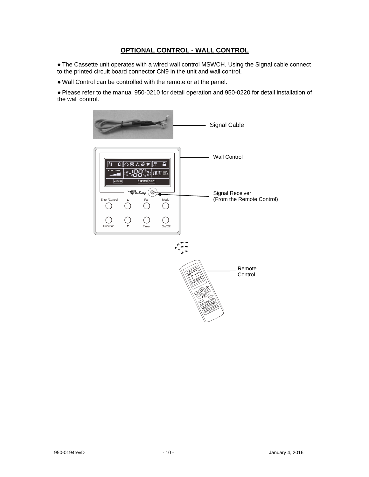## **OPTIONAL CONTROL - WALL CONTROL**

● The Cassette unit operates with a wired wall control MSWCH. Using the Signal cable connect to the printed circuit board connector CN9 in the unit and wall control.

● Wall Control can be controlled with the remote or at the panel.

● Please refer to the manual 950-0210 for detail operation and 950-0220 for detail installation of the wall control.

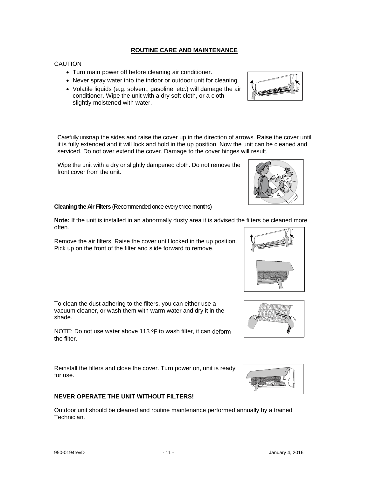#### **ROUTINE CARE AND MAINTENANCE**

#### **CAUTION**

- Turn main power off before cleaning air conditioner.
- Never spray water into the indoor or outdoor unit for cleaning.
- Volatile liquids (e.g. solvent, gasoline, etc.) will damage the air conditioner. Wipe the unit with a dry soft cloth, or a cloth slightly moistened with water.

Carefully unsnap the sides and raise the cover up in the direction of arrows. Raise the cover until it is fully extended and it will lock and hold in the up position. Now the unit can be cleaned and serviced. Do not over extend the cover. Damage to the cover hinges will result.

Wipe the unit with a dry or slightly dampened cloth. Do not remove the front cover from the unit.

#### **Cleaning the Air Filters** (Recommended once every three months)

**Note:** If the unit is installed in an abnormally dusty area it is advised the filters be cleaned more often.

Remove the air filters. Raise the cover until locked in the up position. Pick up on the front of the filter and slide forward to remove.

To clean the dust adhering to the filters, you can either use a vacuum cleaner, or wash them with warm water and dry it in the shade.

NOTE: Do not use water above 113 ºF to wash filter, it can deform the filter.

Reinstall the filters and close the cover. Turn power on, unit is ready for use.

#### **NEVER OPERATE THE UNIT WITHOUT FILTERS!**

Outdoor unit should be cleaned and routine maintenance performed annually by a trained Technician.







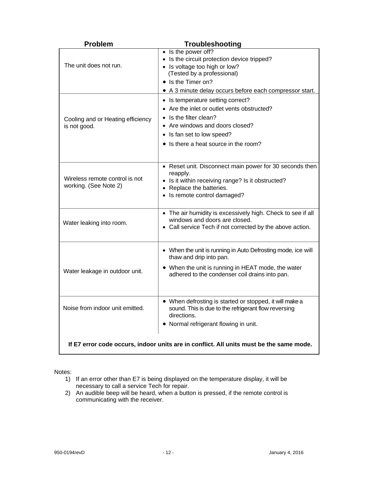| <b>Problem</b>                                                                          | Troubleshooting                                                                                                                                                                                                            |  |  |
|-----------------------------------------------------------------------------------------|----------------------------------------------------------------------------------------------------------------------------------------------------------------------------------------------------------------------------|--|--|
| The unit does not run.                                                                  | $\bullet$ Is the power off?<br>• Is the circuit protection device tripped?<br>• Is voltage too high or low?<br>(Tested by a professional)<br>• Is the Timer on?<br>• A 3 minute delay occurs before each compressor start. |  |  |
| Cooling and or Heating efficiency<br>is not good.                                       | • Is temperature setting correct?<br>• Are the inlet or outlet vents obstructed?<br>Is the filter clean?<br>Are windows and doors closed?<br>• Is fan set to low speed?<br>• Is there a heat source in the room?           |  |  |
| Wireless remote control is not<br>working. (See Note 2)                                 | • Reset unit. Disconnect main power for 30 seconds then<br>reapply.<br>• Is it within receiving range? Is it obstructed?<br>• Replace the batteries.<br>• Is remote control damaged?                                       |  |  |
| Water leaking into room.                                                                | • The air humidity is excessively high. Check to see if all<br>windows and doors are closed.<br>• Call service Tech if not corrected by the above action.                                                                  |  |  |
| Water leakage in outdoor unit.                                                          | • When the unit is running in Auto Defrosting mode, ice will<br>thaw and drip into pan.<br>• When the unit is running in HEAT mode, the water<br>adhered to the condenser coil drains into pan.                            |  |  |
| Noise from indoor unit emitted.                                                         | • When defrosting is started or stopped, it will make a<br>sound. This is due to the refrigerant flow reversing<br>directions.<br>Normal refrigerant flowing in unit.                                                      |  |  |
| If E7 error code occurs, indoor units are in conflict. All units must be the same mode. |                                                                                                                                                                                                                            |  |  |

Notes:

- 1) If an error other than E7 is being displayed on the temperature display, it will be necessary to call a service Tech for repair.
- 2) An audible beep will be heard, when a button is pressed, if the remote control is communicating with the receiver.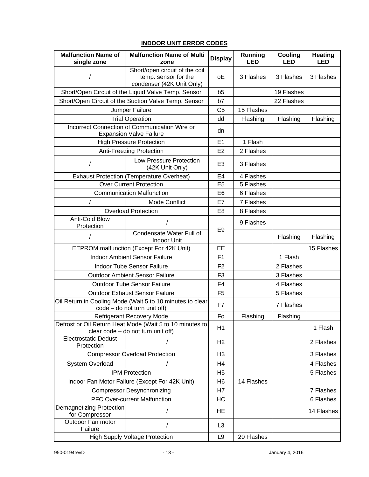# **INDOOR UNIT ERROR CODES**

| <b>Malfunction Name of</b><br>single zone                                                      | <b>Malfunction Name of Multi</b><br>zone                                            | <b>Display</b> | Running<br><b>LED</b> | Cooling<br><b>LED</b> | <b>Heating</b><br><b>LED</b> |
|------------------------------------------------------------------------------------------------|-------------------------------------------------------------------------------------|----------------|-----------------------|-----------------------|------------------------------|
|                                                                                                | Short/open circuit of the coil<br>temp. sensor for the<br>condenser (42K Unit Only) | οE             | 3 Flashes             | 3 Flashes             | 3 Flashes                    |
|                                                                                                | Short/Open Circuit of the Liquid Valve Temp. Sensor                                 | b5             |                       | 19 Flashes            |                              |
|                                                                                                | Short/Open Circuit of the Suction Valve Temp. Sensor                                | b7             |                       | 22 Flashes            |                              |
|                                                                                                | Jumper Failure                                                                      | C <sub>5</sub> | 15 Flashes            |                       |                              |
|                                                                                                | <b>Trial Operation</b>                                                              | dd             | Flashing              | Flashing              | Flashing                     |
|                                                                                                | Incorrect Connection of Communication Wire or<br><b>Expansion Valve Failure</b>     | dn             |                       |                       |                              |
|                                                                                                | <b>High Pressure Protection</b>                                                     | E1             | 1 Flash               |                       |                              |
|                                                                                                | Anti-Freezing Protection                                                            | E2             | 2 Flashes             |                       |                              |
| T                                                                                              | Low Pressure Protection<br>(42K Unit Only)                                          | E <sub>3</sub> | 3 Flashes             |                       |                              |
|                                                                                                | <b>Exhaust Protection (Temperature Overheat)</b>                                    | E <sub>4</sub> | 4 Flashes             |                       |                              |
|                                                                                                | <b>Over Current Protection</b>                                                      | E <sub>5</sub> | 5 Flashes             |                       |                              |
|                                                                                                | <b>Communication Malfunction</b>                                                    | E <sub>6</sub> | 6 Flashes             |                       |                              |
| $\overline{1}$                                                                                 | Mode Conflict                                                                       | E7             | 7 Flashes             |                       |                              |
|                                                                                                | <b>Overload Protection</b>                                                          | E <sub>8</sub> | 8 Flashes             |                       |                              |
| <b>Anti-Cold Blow</b><br>Protection                                                            |                                                                                     | E <sub>9</sub> | 9 Flashes             |                       |                              |
| 1                                                                                              | Condensate Water Full of<br><b>Indoor Unit</b>                                      |                |                       | Flashing              | Flashing                     |
|                                                                                                | EEPROM malfunction (Except For 42K Unit)                                            | EE             |                       |                       | 15 Flashes                   |
|                                                                                                | <b>Indoor Ambient Sensor Failure</b>                                                | F <sub>1</sub> |                       | 1 Flash               |                              |
|                                                                                                | Indoor Tube Sensor Failure                                                          | F <sub>2</sub> |                       | 2 Flashes             |                              |
|                                                                                                | <b>Outdoor Ambient Sensor Failure</b>                                               | F <sub>3</sub> |                       | 3 Flashes             |                              |
|                                                                                                | <b>Outdoor Tube Sensor Failure</b>                                                  | F <sub>4</sub> |                       | 4 Flashes             |                              |
| <b>Outdoor Exhaust Sensor Failure</b>                                                          |                                                                                     | F <sub>5</sub> |                       | 5 Flashes             |                              |
| Oil Return in Cooling Mode (Wait 5 to 10 minutes to clear<br>code – do not turn unit off)      |                                                                                     | F7             |                       | 7 Flashes             |                              |
|                                                                                                | <b>Refrigerant Recovery Mode</b>                                                    | Fo             | Flashing              | Flashing              |                              |
| Defrost or Oil Return Heat Mode (Wait 5 to 10 minutes to<br>clear code - do not turn unit off) |                                                                                     | H1             |                       |                       | 1 Flash                      |
| <b>Electrostatic Dedust</b><br>Protection                                                      |                                                                                     | H2             |                       |                       | 2 Flashes                    |
|                                                                                                | <b>Compressor Overload Protection</b>                                               | H <sub>3</sub> |                       |                       | 3 Flashes                    |
| System Overload                                                                                |                                                                                     | H <sub>4</sub> |                       |                       | 4 Flashes                    |
| <b>IPM Protection</b>                                                                          |                                                                                     | H <sub>5</sub> |                       |                       | 5 Flashes                    |
| Indoor Fan Motor Failure (Except For 42K Unit)                                                 |                                                                                     | H <sub>6</sub> | 14 Flashes            |                       |                              |
| <b>Compressor Desynchronizing</b>                                                              |                                                                                     | H7             |                       |                       | 7 Flashes                    |
| <b>PFC Over-current Malfunction</b>                                                            |                                                                                     | HC             |                       |                       | 6 Flashes                    |
| <b>Demagnetizing Protection</b><br>for Compressor                                              |                                                                                     | <b>HE</b>      |                       |                       | 14 Flashes                   |
| Outdoor Fan motor<br>Failure                                                                   |                                                                                     | L <sub>3</sub> |                       |                       |                              |
|                                                                                                | <b>High Supply Voltage Protection</b>                                               | L <sub>9</sub> | 20 Flashes            |                       |                              |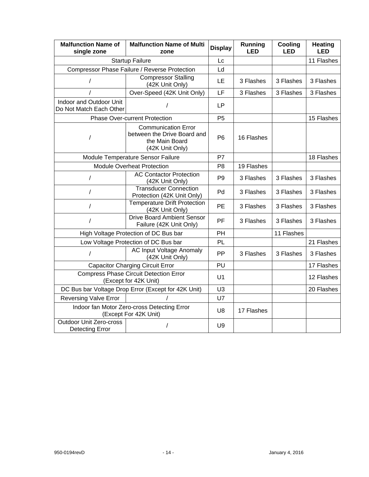| <b>Malfunction Name of</b><br>single zone                              | <b>Malfunction Name of Multi</b><br>zone                                                       | <b>Display</b> | <b>Running</b><br>LED | Cooling<br>LED | <b>Heating</b><br><b>LED</b> |
|------------------------------------------------------------------------|------------------------------------------------------------------------------------------------|----------------|-----------------------|----------------|------------------------------|
| <b>Startup Failure</b>                                                 |                                                                                                | Lc             |                       |                | 11 Flashes                   |
| Compressor Phase Failure / Reverse Protection                          |                                                                                                | Ld             |                       |                |                              |
| /                                                                      | <b>Compressor Stalling</b><br>(42K Unit Only)                                                  | LE             | 3 Flashes             | 3 Flashes      | 3 Flashes                    |
|                                                                        | Over-Speed (42K Unit Only)                                                                     | LF             | 3 Flashes             | 3 Flashes      | 3 Flashes                    |
| Indoor and Outdoor Unit<br>Do Not Match Each Other                     |                                                                                                | <b>LP</b>      |                       |                |                              |
|                                                                        | <b>Phase Over-current Protection</b>                                                           | P <sub>5</sub> |                       |                | 15 Flashes                   |
| 1                                                                      | <b>Communication Error</b><br>between the Drive Board and<br>the Main Board<br>(42K Unit Only) | P <sub>6</sub> | 16 Flashes            |                |                              |
|                                                                        | Module Temperature Sensor Failure                                                              | P7             |                       |                | 18 Flashes                   |
|                                                                        | <b>Module Overheat Protection</b>                                                              | P <sub>8</sub> | 19 Flashes            |                |                              |
| 1                                                                      | <b>AC Contactor Protection</b><br>(42K Unit Only)                                              | P <sub>9</sub> | 3 Flashes             | 3 Flashes      | 3 Flashes                    |
| $\overline{1}$                                                         | <b>Transducer Connection</b><br>Protection (42K Unit Only)                                     | Pd             | 3 Flashes             | 3 Flashes      | 3 Flashes                    |
| $\prime$                                                               | <b>Temperature Drift Protection</b><br>(42K Unit Only)                                         | PE             | 3 Flashes             | 3 Flashes      | 3 Flashes                    |
| $\prime$                                                               | <b>Drive Board Ambient Sensor</b><br>Failure (42K Unit Only)                                   | PF             | 3 Flashes             | 3 Flashes      | 3 Flashes                    |
|                                                                        | High Voltage Protection of DC Bus bar                                                          | PH             |                       | 11 Flashes     |                              |
|                                                                        | Low Voltage Protection of DC Bus bar                                                           | <b>PL</b>      |                       |                | 21 Flashes                   |
| $\prime$                                                               | <b>AC Input Voltage Anomaly</b><br>(42K Unit Only)                                             | РP             | 3 Flashes             | 3 Flashes      | 3 Flashes                    |
| <b>Capacitor Charging Circuit Error</b>                                |                                                                                                | PU             |                       |                | 17 Flashes                   |
| <b>Compress Phase Circuit Detection Error</b><br>(Except for 42K Unit) |                                                                                                | U <sub>1</sub> |                       |                | 12 Flashes                   |
| DC Bus bar Voltage Drop Error (Except for 42K Unit)                    |                                                                                                | U <sub>3</sub> |                       |                | 20 Flashes                   |
| <b>Reversing Valve Error</b>                                           |                                                                                                | U7             |                       |                |                              |
| Indoor fan Motor Zero-cross Detecting Error<br>(Except For 42K Unit)   |                                                                                                | U <sub>8</sub> | 17 Flashes            |                |                              |
| <b>Outdoor Unit Zero-cross</b><br>Detecting Error                      |                                                                                                | U <sub>9</sub> |                       |                |                              |